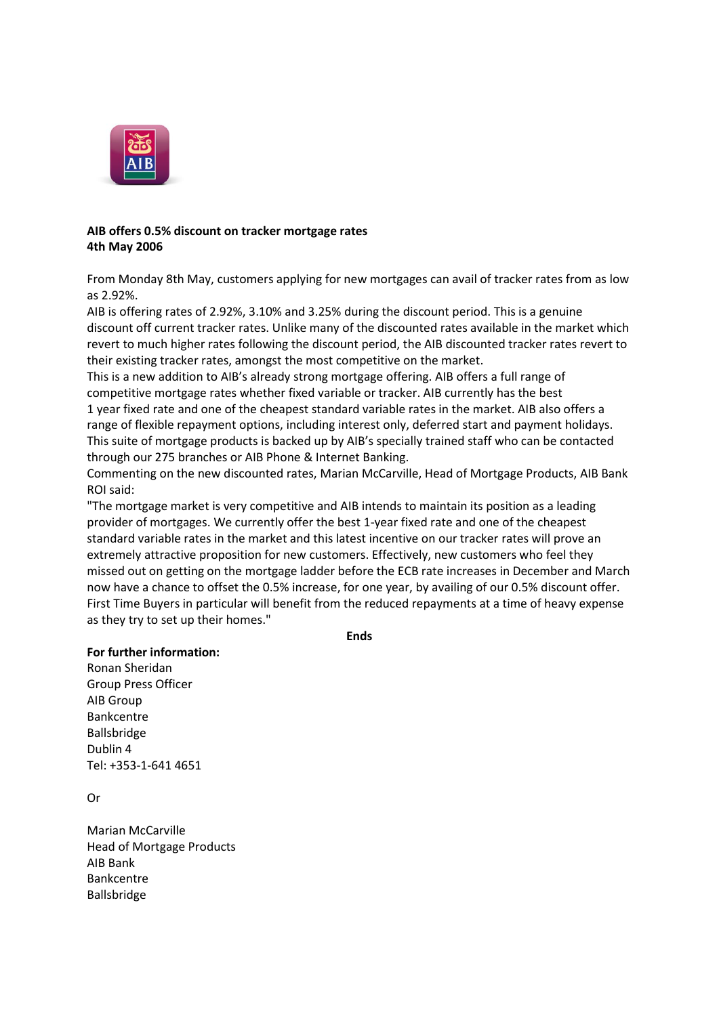

## **AIB offers 0.5% discount on tracker mortgage rates 4th May 2006**

From Monday 8th May, customers applying for new mortgages can avail of tracker rates from as low as 2.92%.

AIB is offering rates of 2.92%, 3.10% and 3.25% during the discount period. This is a genuine discount off current tracker rates. Unlike many of the discounted rates available in the market which revert to much higher rates following the discount period, the AIB discounted tracker rates revert to their existing tracker rates, amongst the most competitive on the market.

This is a new addition to AIB's already strong mortgage offering. AIB offers a full range of competitive mortgage rates whether fixed variable or tracker. AIB currently has the best 1 year fixed rate and one of the cheapest standard variable rates in the market. AIB also offers a range of flexible repayment options, including interest only, deferred start and payment holidays. This suite of mortgage products is backed up by AIB's specially trained staff who can be contacted through our 275 branches or AIB Phone & Internet Banking.

Commenting on the new discounted rates, Marian McCarville, Head of Mortgage Products, AIB Bank ROI said:

"The mortgage market is very competitive and AIB intends to maintain its position as a leading provider of mortgages. We currently offer the best 1-year fixed rate and one of the cheapest standard variable rates in the market and this latest incentive on our tracker rates will prove an extremely attractive proposition for new customers. Effectively, new customers who feel they missed out on getting on the mortgage ladder before the ECB rate increases in December and March now have a chance to offset the 0.5% increase, for one year, by availing of our 0.5% discount offer. First Time Buyers in particular will benefit from the reduced repayments at a time of heavy expense as they try to set up their homes."

**Ends**

**For further information:** Ronan Sheridan Group Press Officer AIB Group Bankcentre

Ballsbridge Dublin 4 Tel: +353-1-641 4651

Or

Marian McCarville Head of Mortgage Products AIB Bank Bankcentre Ballsbridge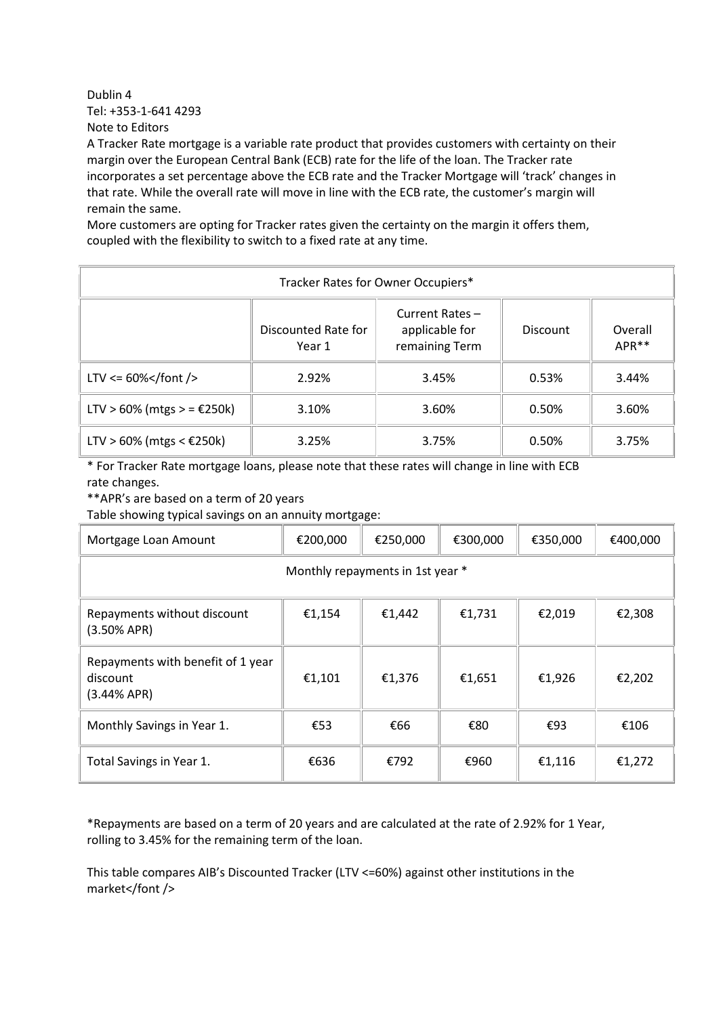Dublin 4 Tel: +353-1-641 4293 Note to Editors

A Tracker Rate mortgage is a variable rate product that provides customers with certainty on their margin over the European Central Bank (ECB) rate for the life of the loan. The Tracker rate incorporates a set percentage above the ECB rate and the Tracker Mortgage will 'track' changes in that rate. While the overall rate will move in line with the ECB rate, the customer's margin will remain the same.

More customers are opting for Tracker rates given the certainty on the margin it offers them, coupled with the flexibility to switch to a fixed rate at any time.

| Tracker Rates for Owner Occupiers* |                               |                                                     |          |                              |  |  |  |  |
|------------------------------------|-------------------------------|-----------------------------------------------------|----------|------------------------------|--|--|--|--|
|                                    | Discounted Rate for<br>Year 1 | Current Rates -<br>applicable for<br>remaining Term | Discount | Overall<br>APR <sup>**</sup> |  |  |  |  |
| LTV <= $60\%$                      | 2.92%                         | 3.45%                                               | 0.53%    | 3.44%                        |  |  |  |  |
| LTV > 60% (mtgs > = €250k)         | 3.10%                         | 3.60%                                               | 0.50%    | 3.60%                        |  |  |  |  |
| LTV > 60% (mtgs < €250k)           | 3.25%                         | 3.75%                                               | 0.50%    | 3.75%                        |  |  |  |  |

\* For Tracker Rate mortgage loans, please note that these rates will change in line with ECB rate changes.

\*\*APR's are based on a term of 20 years

Table showing typical savings on an annuity mortgage:

| Mortgage Loan Amount                                           | €200,000 | €250,000 | €300,000 | €350,000 | €400,000 |  |  |  |  |
|----------------------------------------------------------------|----------|----------|----------|----------|----------|--|--|--|--|
| Monthly repayments in 1st year *                               |          |          |          |          |          |  |  |  |  |
| Repayments without discount<br>$(3.50%$ APR)                   | €1,154   | €1,442   | €1,731   | €2,019   | €2,308   |  |  |  |  |
| Repayments with benefit of 1 year<br>discount<br>$(3.44%$ APR) | €1,101   | €1,376   | €1,651   | €1,926   | €2,202   |  |  |  |  |
| Monthly Savings in Year 1.                                     | €53      | €66      | €80      | €93      | €106     |  |  |  |  |
| Total Savings in Year 1.                                       | €636     | €792     | €960     | €1,116   | €1,272   |  |  |  |  |

\*Repayments are based on a term of 20 years and are calculated at the rate of 2.92% for 1 Year, rolling to 3.45% for the remaining term of the loan.

This table compares AIB's Discounted Tracker (LTV <=60%) against other institutions in the market</font />